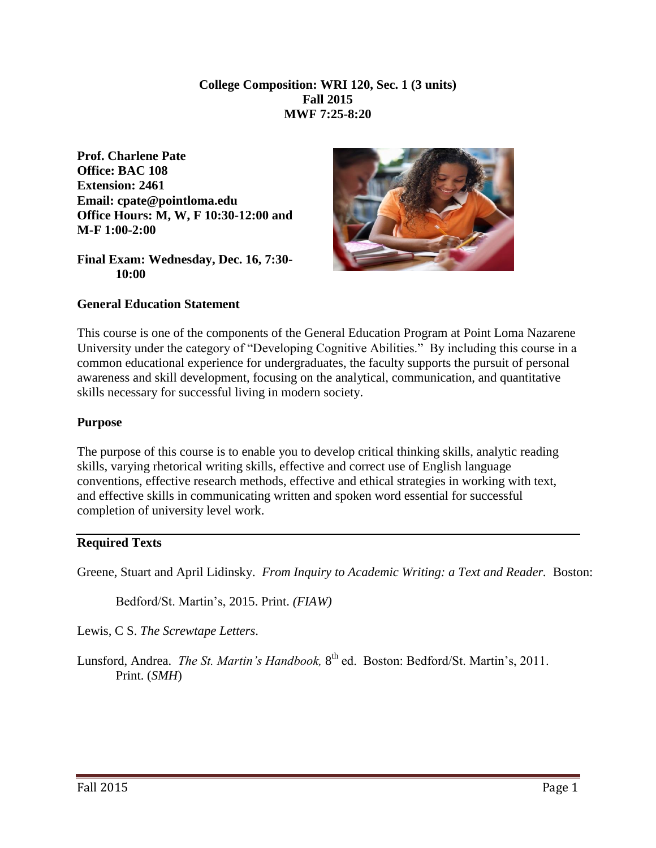**College Composition: WRI 120, Sec. 1 (3 units) Fall 2015 MWF 7:25-8:20**

**Prof. Charlene Pate Office: BAC 108 Extension: 2461 Email: cpate@pointloma.edu Office Hours: M, W, F 10:30-12:00 and M-F 1:00-2:00**

**Final Exam: Wednesday, Dec. 16, 7:30- 10:00** 



**General Education Statement** 

This course is one of the components of the General Education Program at Point Loma Nazarene University under the category of "Developing Cognitive Abilities." By including this course in a common educational experience for undergraduates, the faculty supports the pursuit of personal awareness and skill development, focusing on the analytical, communication, and quantitative skills necessary for successful living in modern society.

#### **Purpose**

The purpose of this course is to enable you to develop critical thinking skills, analytic reading skills, varying rhetorical writing skills, effective and correct use of English language conventions, effective research methods, effective and ethical strategies in working with text, and effective skills in communicating written and spoken word essential for successful completion of university level work.

#### **Required Texts**

Greene, Stuart and April Lidinsky. *From Inquiry to Academic Writing: a Text and Reader.* Boston:

Bedford/St. Martin's, 2015. Print. *(FIAW)*

Lewis, C S. *The Screwtape Letters*.

Lunsford, Andrea. *The St. Martin's Handbook*, 8<sup>th</sup> ed. Boston: Bedford/St. Martin's, 2011. Print. (*SMH*)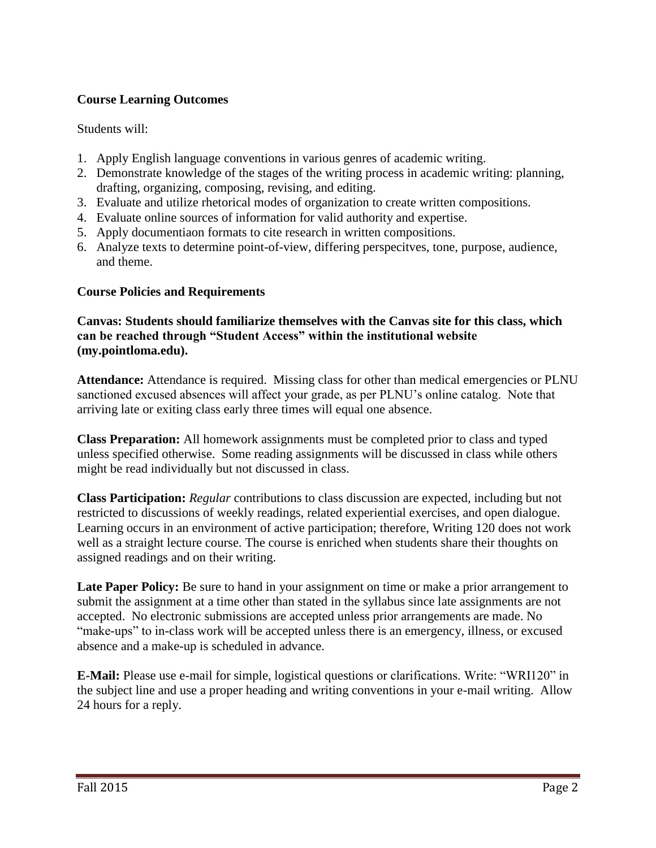## **Course Learning Outcomes**

Students will:

- 1. Apply English language conventions in various genres of academic writing.
- 2. Demonstrate knowledge of the stages of the writing process in academic writing: planning, drafting, organizing, composing, revising, and editing.
- 3. Evaluate and utilize rhetorical modes of organization to create written compositions.
- 4. Evaluate online sources of information for valid authority and expertise.
- 5. Apply documentiaon formats to cite research in written compositions.
- 6. Analyze texts to determine point-of-view, differing perspecitves, tone, purpose, audience, and theme.

#### **Course Policies and Requirements**

#### **Canvas: Students should familiarize themselves with the Canvas site for this class, which can be reached through "Student Access" within the institutional website (my.pointloma.edu).**

**Attendance:** Attendance is required. Missing class for other than medical emergencies or PLNU sanctioned excused absences will affect your grade, as per PLNU's online catalog. Note that arriving late or exiting class early three times will equal one absence.

**Class Preparation:** All homework assignments must be completed prior to class and typed unless specified otherwise. Some reading assignments will be discussed in class while others might be read individually but not discussed in class.

**Class Participation:** *Regular* contributions to class discussion are expected, including but not restricted to discussions of weekly readings, related experiential exercises, and open dialogue. Learning occurs in an environment of active participation; therefore, Writing 120 does not work well as a straight lecture course. The course is enriched when students share their thoughts on assigned readings and on their writing.

Late Paper Policy: Be sure to hand in your assignment on time or make a prior arrangement to submit the assignment at a time other than stated in the syllabus since late assignments are not accepted. No electronic submissions are accepted unless prior arrangements are made. No "make-ups" to in-class work will be accepted unless there is an emergency, illness, or excused absence and a make-up is scheduled in advance.

**E-Mail:** Please use e-mail for simple, logistical questions or clarifications. Write: "WRI120" in the subject line and use a proper heading and writing conventions in your e-mail writing. Allow 24 hours for a reply.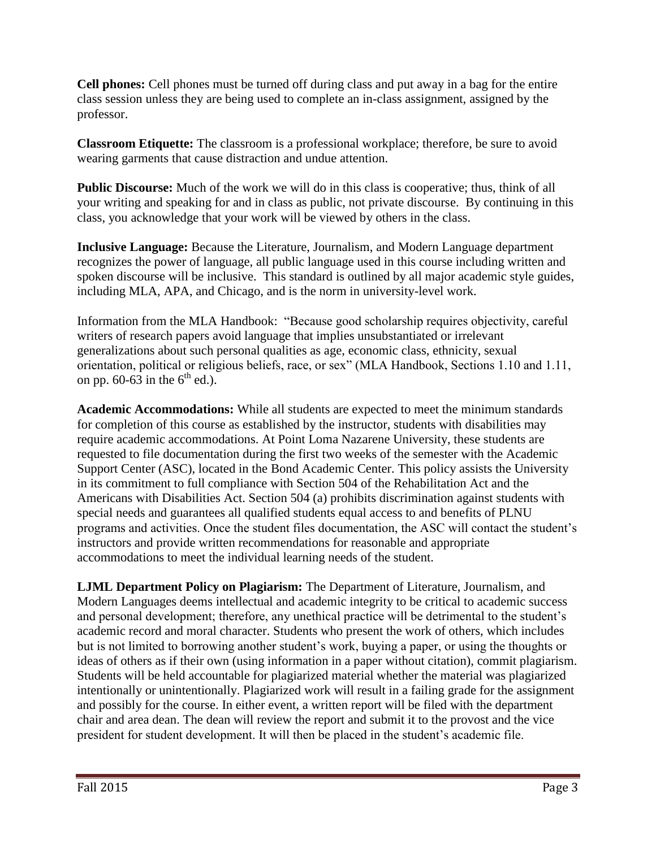**Cell phones:** Cell phones must be turned off during class and put away in a bag for the entire class session unless they are being used to complete an in-class assignment, assigned by the professor.

**Classroom Etiquette:** The classroom is a professional workplace; therefore, be sure to avoid wearing garments that cause distraction and undue attention.

**Public Discourse:** Much of the work we will do in this class is cooperative; thus, think of all your writing and speaking for and in class as public, not private discourse. By continuing in this class, you acknowledge that your work will be viewed by others in the class.

**Inclusive Language:** Because the Literature, Journalism, and Modern Language department recognizes the power of language, all public language used in this course including written and spoken discourse will be inclusive. This standard is outlined by all major academic style guides, including MLA, APA, and Chicago, and is the norm in university-level work.

Information from the MLA Handbook: "Because good scholarship requires objectivity, careful writers of research papers avoid language that implies unsubstantiated or irrelevant generalizations about such personal qualities as age, economic class, ethnicity, sexual orientation, political or religious beliefs, race, or sex" (MLA Handbook, Sections 1.10 and 1.11, on pp. 60-63 in the  $6<sup>th</sup>$  ed.).

**Academic Accommodations:** While all students are expected to meet the minimum standards for completion of this course as established by the instructor, students with disabilities may require academic accommodations. At Point Loma Nazarene University, these students are requested to file documentation during the first two weeks of the semester with the Academic Support Center (ASC), located in the Bond Academic Center. This policy assists the University in its commitment to full compliance with Section 504 of the Rehabilitation Act and the Americans with Disabilities Act. Section 504 (a) prohibits discrimination against students with special needs and guarantees all qualified students equal access to and benefits of PLNU programs and activities. Once the student files documentation, the ASC will contact the student's instructors and provide written recommendations for reasonable and appropriate accommodations to meet the individual learning needs of the student.

**LJML Department Policy on Plagiarism:** The Department of Literature, Journalism, and Modern Languages deems intellectual and academic integrity to be critical to academic success and personal development; therefore, any unethical practice will be detrimental to the student's academic record and moral character. Students who present the work of others, which includes but is not limited to borrowing another student's work, buying a paper, or using the thoughts or ideas of others as if their own (using information in a paper without citation), commit plagiarism. Students will be held accountable for plagiarized material whether the material was plagiarized intentionally or unintentionally. Plagiarized work will result in a failing grade for the assignment and possibly for the course. In either event, a written report will be filed with the department chair and area dean. The dean will review the report and submit it to the provost and the vice president for student development. It will then be placed in the student's academic file.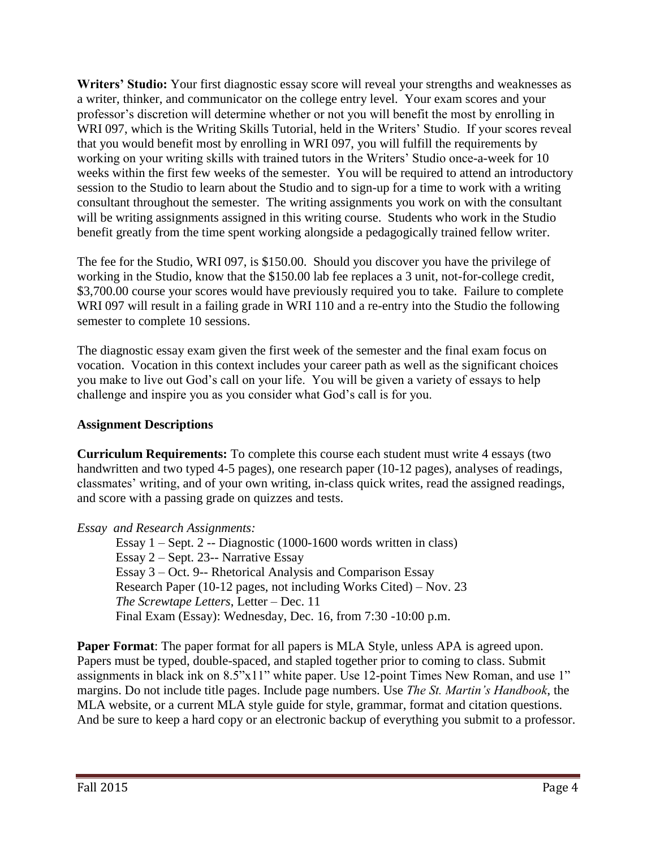**Writers' Studio:** Your first diagnostic essay score will reveal your strengths and weaknesses as a writer, thinker, and communicator on the college entry level. Your exam scores and your professor's discretion will determine whether or not you will benefit the most by enrolling in WRI 097, which is the Writing Skills Tutorial, held in the Writers' Studio. If your scores reveal that you would benefit most by enrolling in WRI 097, you will fulfill the requirements by working on your writing skills with trained tutors in the Writers' Studio once-a-week for 10 weeks within the first few weeks of the semester. You will be required to attend an introductory session to the Studio to learn about the Studio and to sign-up for a time to work with a writing consultant throughout the semester. The writing assignments you work on with the consultant will be writing assignments assigned in this writing course. Students who work in the Studio benefit greatly from the time spent working alongside a pedagogically trained fellow writer.

The fee for the Studio, WRI 097, is \$150.00. Should you discover you have the privilege of working in the Studio, know that the \$150.00 lab fee replaces a 3 unit, not-for-college credit, \$3,700.00 course your scores would have previously required you to take. Failure to complete WRI 097 will result in a failing grade in WRI 110 and a re-entry into the Studio the following semester to complete 10 sessions.

The diagnostic essay exam given the first week of the semester and the final exam focus on vocation. Vocation in this context includes your career path as well as the significant choices you make to live out God's call on your life. You will be given a variety of essays to help challenge and inspire you as you consider what God's call is for you.

## **Assignment Descriptions**

**Curriculum Requirements:** To complete this course each student must write 4 essays (two handwritten and two typed 4-5 pages), one research paper (10-12 pages), analyses of readings, classmates' writing, and of your own writing, in-class quick writes, read the assigned readings, and score with a passing grade on quizzes and tests.

#### *Essay and Research Assignments:*

Essay 1 – Sept. 2 -- Diagnostic (1000-1600 words written in class) Essay 2 – Sept. 23-- Narrative Essay Essay 3 – Oct. 9-- Rhetorical Analysis and Comparison Essay Research Paper (10-12 pages, not including Works Cited) – Nov. 23 *The Screwtape Letters*, Letter – Dec. 11 Final Exam (Essay): Wednesday, Dec. 16, from 7:30 -10:00 p.m.

**Paper Format**: The paper format for all papers is MLA Style, unless APA is agreed upon. Papers must be typed, double-spaced, and stapled together prior to coming to class. Submit assignments in black ink on 8.5"x11" white paper. Use 12-point Times New Roman, and use 1" margins. Do not include title pages. Include page numbers. Use *The St. Martin's Handbook*, the MLA website, or a current MLA style guide for style, grammar, format and citation questions. And be sure to keep a hard copy or an electronic backup of everything you submit to a professor.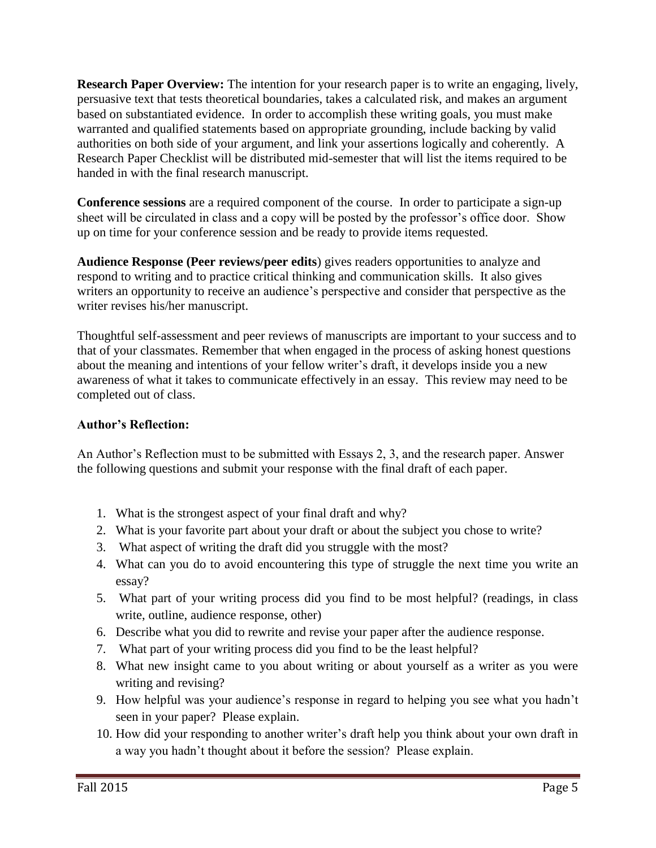**Research Paper Overview:** The intention for your research paper is to write an engaging, lively, persuasive text that tests theoretical boundaries, takes a calculated risk, and makes an argument based on substantiated evidence. In order to accomplish these writing goals, you must make warranted and qualified statements based on appropriate grounding, include backing by valid authorities on both side of your argument, and link your assertions logically and coherently. A Research Paper Checklist will be distributed mid-semester that will list the items required to be handed in with the final research manuscript.

**Conference sessions** are a required component of the course. In order to participate a sign-up sheet will be circulated in class and a copy will be posted by the professor's office door. Show up on time for your conference session and be ready to provide items requested.

**Audience Response (Peer reviews/peer edits**) gives readers opportunities to analyze and respond to writing and to practice critical thinking and communication skills. It also gives writers an opportunity to receive an audience's perspective and consider that perspective as the writer revises his/her manuscript.

Thoughtful self-assessment and peer reviews of manuscripts are important to your success and to that of your classmates. Remember that when engaged in the process of asking honest questions about the meaning and intentions of your fellow writer's draft, it develops inside you a new awareness of what it takes to communicate effectively in an essay. This review may need to be completed out of class.

## **Author's Reflection:**

An Author's Reflection must to be submitted with Essays 2, 3, and the research paper. Answer the following questions and submit your response with the final draft of each paper.

- 1. What is the strongest aspect of your final draft and why?
- 2. What is your favorite part about your draft or about the subject you chose to write?
- 3. What aspect of writing the draft did you struggle with the most?
- 4. What can you do to avoid encountering this type of struggle the next time you write an essay?
- 5. What part of your writing process did you find to be most helpful? (readings, in class write, outline, audience response, other)
- 6. Describe what you did to rewrite and revise your paper after the audience response.
- 7. What part of your writing process did you find to be the least helpful?
- 8. What new insight came to you about writing or about yourself as a writer as you were writing and revising?
- 9. How helpful was your audience's response in regard to helping you see what you hadn't seen in your paper? Please explain.
- 10. How did your responding to another writer's draft help you think about your own draft in a way you hadn't thought about it before the session? Please explain.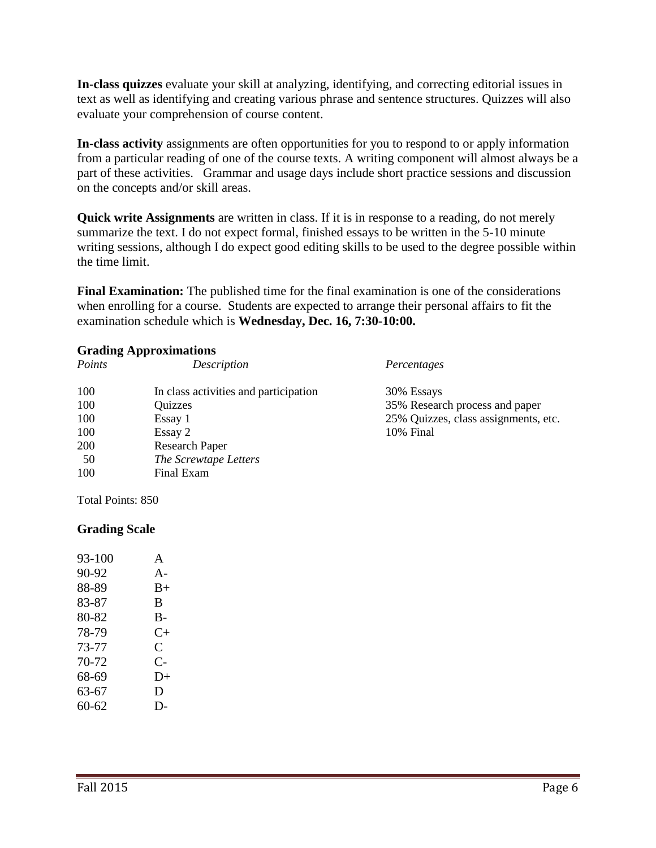**In-class quizzes** evaluate your skill at analyzing, identifying, and correcting editorial issues in text as well as identifying and creating various phrase and sentence structures. Quizzes will also evaluate your comprehension of course content.

**In-class activity** assignments are often opportunities for you to respond to or apply information from a particular reading of one of the course texts. A writing component will almost always be a part of these activities. Grammar and usage days include short practice sessions and discussion on the concepts and/or skill areas.

**Quick write Assignments** are written in class. If it is in response to a reading, do not merely summarize the text. I do not expect formal, finished essays to be written in the 5-10 minute writing sessions, although I do expect good editing skills to be used to the degree possible within the time limit.

**Final Examination:** The published time for the final examination is one of the considerations when enrolling for a course. Students are expected to arrange their personal affairs to fit the examination schedule which is **Wednesday, Dec. 16, 7:30-10:00.**

#### **Grading Approximations**

| Points | Description                           | Percentages                          |
|--------|---------------------------------------|--------------------------------------|
| 100    | In class activities and participation | 30% Essays                           |
| 100    | Quizzes                               | 35% Research process and paper       |
| 100    | Essay 1                               | 25% Quizzes, class assignments, etc. |
| 100    | Essay 2                               | 10% Final                            |
| 200    | <b>Research Paper</b>                 |                                      |
| 50     | The Screwtape Letters                 |                                      |
| 100    | Final Exam                            |                                      |

Total Points: 850

#### **Grading Scale**

| 93-100 | A     |
|--------|-------|
| 90-92  | $A -$ |
| 88-89  | $B+$  |
| 83-87  | B     |
| 80-82  | $B-$  |
| 78-79  | $C+$  |
| 73-77  | C     |
| 70-72  | $C-$  |
| 68-69  | $D+$  |
| 63-67  | D     |
| 60-62  | $D-$  |
|        |       |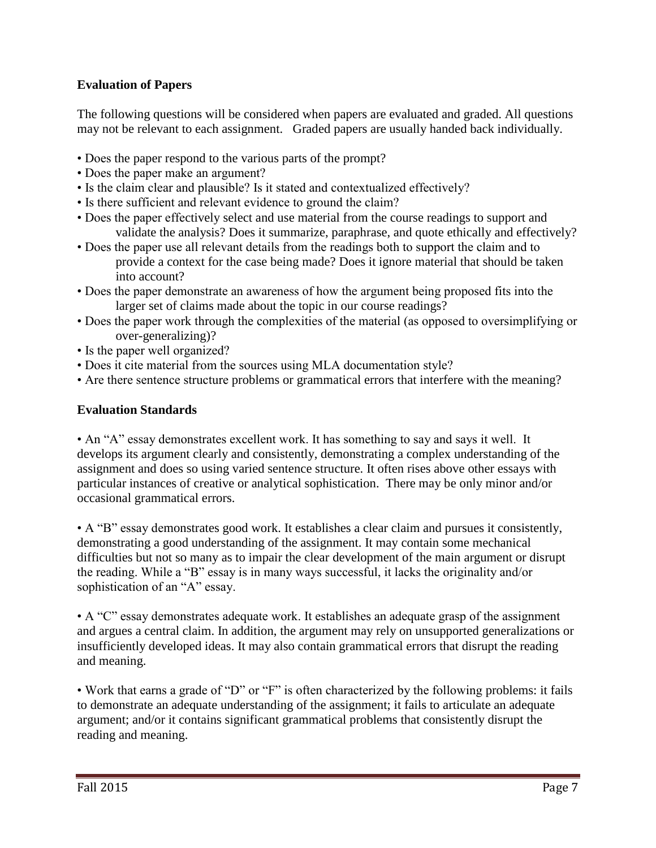# **Evaluation of Papers**

The following questions will be considered when papers are evaluated and graded. All questions may not be relevant to each assignment. Graded papers are usually handed back individually.

- Does the paper respond to the various parts of the prompt?
- Does the paper make an argument?
- Is the claim clear and plausible? Is it stated and contextualized effectively?
- Is there sufficient and relevant evidence to ground the claim?
- Does the paper effectively select and use material from the course readings to support and validate the analysis? Does it summarize, paraphrase, and quote ethically and effectively?
- Does the paper use all relevant details from the readings both to support the claim and to provide a context for the case being made? Does it ignore material that should be taken into account?
- Does the paper demonstrate an awareness of how the argument being proposed fits into the larger set of claims made about the topic in our course readings?
- Does the paper work through the complexities of the material (as opposed to oversimplifying or over-generalizing)?
- Is the paper well organized?
- Does it cite material from the sources using MLA documentation style?
- Are there sentence structure problems or grammatical errors that interfere with the meaning?

# **Evaluation Standards**

• An "A" essay demonstrates excellent work. It has something to say and says it well. It develops its argument clearly and consistently, demonstrating a complex understanding of the assignment and does so using varied sentence structure. It often rises above other essays with particular instances of creative or analytical sophistication. There may be only minor and/or occasional grammatical errors.

• A "B" essay demonstrates good work. It establishes a clear claim and pursues it consistently, demonstrating a good understanding of the assignment. It may contain some mechanical difficulties but not so many as to impair the clear development of the main argument or disrupt the reading. While a "B" essay is in many ways successful, it lacks the originality and/or sophistication of an "A" essay.

• A "C" essay demonstrates adequate work. It establishes an adequate grasp of the assignment and argues a central claim. In addition, the argument may rely on unsupported generalizations or insufficiently developed ideas. It may also contain grammatical errors that disrupt the reading and meaning.

• Work that earns a grade of "D" or "F" is often characterized by the following problems: it fails to demonstrate an adequate understanding of the assignment; it fails to articulate an adequate argument; and/or it contains significant grammatical problems that consistently disrupt the reading and meaning.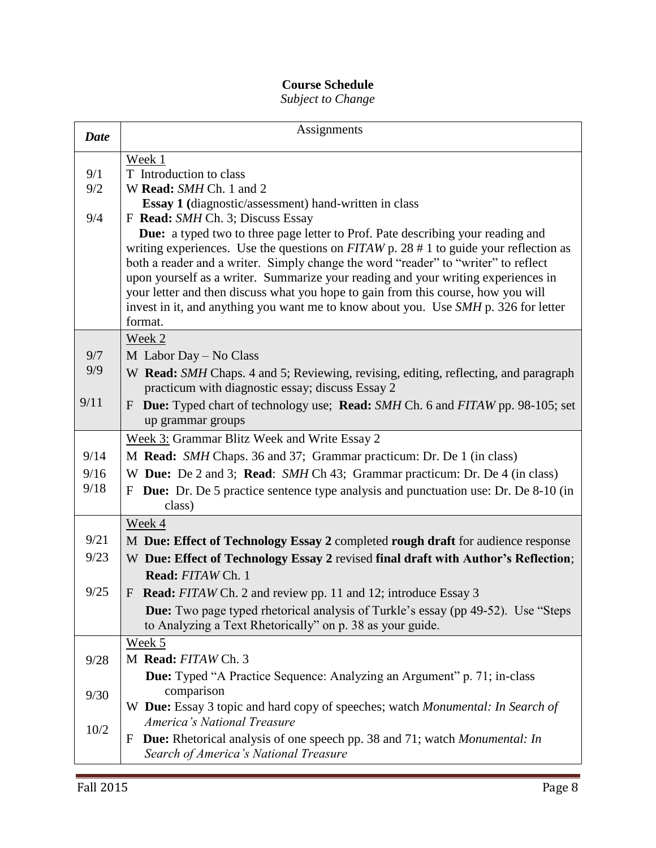# **Course Schedule**

# *Subject to Change*

| <b>Date</b> | Assignments                                                                                                                                                             |  |
|-------------|-------------------------------------------------------------------------------------------------------------------------------------------------------------------------|--|
|             | Week 1                                                                                                                                                                  |  |
| 9/1         | T Introduction to class                                                                                                                                                 |  |
| 9/2         | W Read: SMH Ch. 1 and 2                                                                                                                                                 |  |
|             | <b>Essay 1</b> (diagnostic/assessment) hand-written in class                                                                                                            |  |
| 9/4         | F Read: SMH Ch. 3; Discuss Essay                                                                                                                                        |  |
|             | Due: a typed two to three page letter to Prof. Pate describing your reading and                                                                                         |  |
|             | writing experiences. Use the questions on $FITAW$ p. 28 # 1 to guide your reflection as                                                                                 |  |
|             | both a reader and a writer. Simply change the word "reader" to "writer" to reflect<br>upon yourself as a writer. Summarize your reading and your writing experiences in |  |
|             | your letter and then discuss what you hope to gain from this course, how you will                                                                                       |  |
|             | invest in it, and anything you want me to know about you. Use SMH p. 326 for letter                                                                                     |  |
|             | format.                                                                                                                                                                 |  |
|             | Week 2                                                                                                                                                                  |  |
| 9/7         | M Labor Day - No Class                                                                                                                                                  |  |
| 9/9         | W Read: SMH Chaps. 4 and 5; Reviewing, revising, editing, reflecting, and paragraph                                                                                     |  |
|             | practicum with diagnostic essay; discuss Essay 2                                                                                                                        |  |
| 9/11        | <b>Due:</b> Typed chart of technology use; <b>Read:</b> SMH Ch. 6 and FITAW pp. 98-105; set<br>F                                                                        |  |
|             | up grammar groups                                                                                                                                                       |  |
|             | Week 3: Grammar Blitz Week and Write Essay 2                                                                                                                            |  |
| 9/14        | M Read: SMH Chaps. 36 and 37; Grammar practicum: Dr. De 1 (in class)                                                                                                    |  |
| 9/16        | W Due: De 2 and 3; Read: SMH Ch 43; Grammar practicum: Dr. De 4 (in class)                                                                                              |  |
| 9/18        | F Due: Dr. De 5 practice sentence type analysis and punctuation use: Dr. De 8-10 (in                                                                                    |  |
|             | class)                                                                                                                                                                  |  |
|             | Week 4                                                                                                                                                                  |  |
| 9/21        | M Due: Effect of Technology Essay 2 completed rough draft for audience response                                                                                         |  |
| 9/23        | W Due: Effect of Technology Essay 2 revised final draft with Author's Reflection;                                                                                       |  |
|             | Read: FITAW Ch. 1                                                                                                                                                       |  |
| 9/25        | F Read: FITAW Ch. 2 and review pp. 11 and 12; introduce Essay 3                                                                                                         |  |
|             | <b>Due:</b> Two page typed rhetorical analysis of Turkle's essay (pp 49-52). Use "Steps"                                                                                |  |
|             | to Analyzing a Text Rhetorically" on p. 38 as your guide.                                                                                                               |  |
|             | Week 5                                                                                                                                                                  |  |
| 9/28        | M Read: FITAW Ch. 3                                                                                                                                                     |  |
|             | <b>Due:</b> Typed "A Practice Sequence: Analyzing an Argument" p. 71; in-class                                                                                          |  |
| 9/30        | comparison                                                                                                                                                              |  |
|             | W Due: Essay 3 topic and hard copy of speeches; watch Monumental: In Search of                                                                                          |  |
| 10/2        | America's National Treasure                                                                                                                                             |  |
|             | <b>Due:</b> Rhetorical analysis of one speech pp. 38 and 71; watch <i>Monumental: In</i><br>F                                                                           |  |
|             | Search of America's National Treasure                                                                                                                                   |  |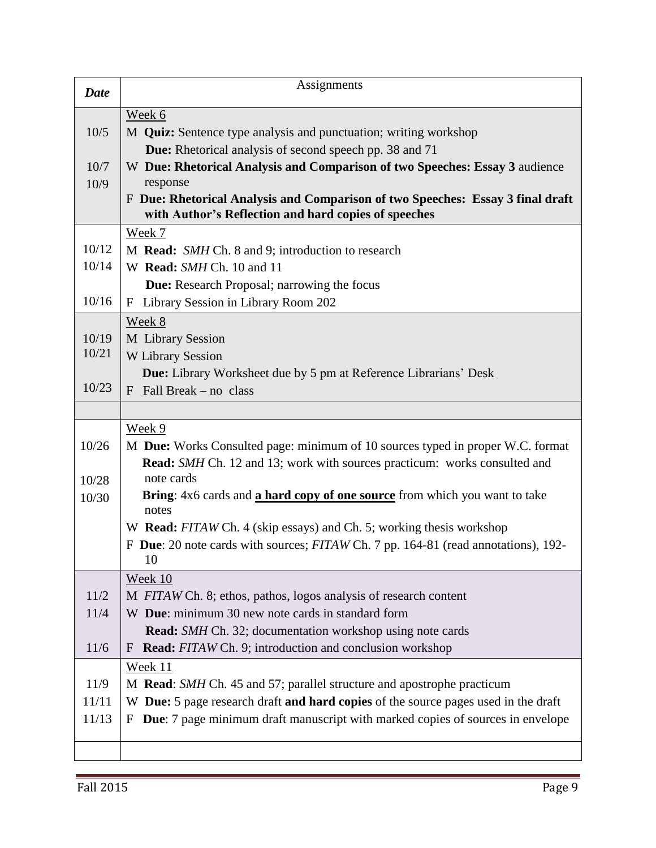| <b>Date</b> | Assignments                                                                                                                            |  |  |
|-------------|----------------------------------------------------------------------------------------------------------------------------------------|--|--|
|             | Week 6                                                                                                                                 |  |  |
| 10/5        | M <b>Quiz:</b> Sentence type analysis and punctuation; writing workshop                                                                |  |  |
|             | <b>Due:</b> Rhetorical analysis of second speech pp. 38 and 71                                                                         |  |  |
| 10/7        | W Due: Rhetorical Analysis and Comparison of two Speeches: Essay 3 audience                                                            |  |  |
| 10/9        | response                                                                                                                               |  |  |
|             | F Due: Rhetorical Analysis and Comparison of two Speeches: Essay 3 final draft<br>with Author's Reflection and hard copies of speeches |  |  |
|             | Week 7                                                                                                                                 |  |  |
| 10/12       | M Read: SMH Ch. 8 and 9; introduction to research                                                                                      |  |  |
| 10/14       | W Read: SMH Ch. 10 and 11                                                                                                              |  |  |
|             | Due: Research Proposal; narrowing the focus                                                                                            |  |  |
| 10/16       | Library Session in Library Room 202<br>F                                                                                               |  |  |
|             | Week 8                                                                                                                                 |  |  |
| 10/19       | M Library Session                                                                                                                      |  |  |
| 10/21       | <b>W</b> Library Session                                                                                                               |  |  |
|             | <b>Due:</b> Library Worksheet due by 5 pm at Reference Librarians' Desk                                                                |  |  |
| 10/23       | Fall Break – no class<br>F                                                                                                             |  |  |
|             |                                                                                                                                        |  |  |
|             | Week 9                                                                                                                                 |  |  |
| 10/26       | M Due: Works Consulted page: minimum of 10 sources typed in proper W.C. format                                                         |  |  |
|             | <b>Read:</b> SMH Ch. 12 and 13; work with sources practicum: works consulted and                                                       |  |  |
| 10/28       | note cards                                                                                                                             |  |  |
| 10/30       | Bring: 4x6 cards and a hard copy of one source from which you want to take<br>notes                                                    |  |  |
|             | W Read: FITAW Ch. 4 (skip essays) and Ch. 5; working thesis workshop                                                                   |  |  |
|             | F Due: 20 note cards with sources; FITAW Ch. 7 pp. 164-81 (read annotations), 192-                                                     |  |  |
|             | 10                                                                                                                                     |  |  |
|             | Week 10                                                                                                                                |  |  |
| 11/2        | M FITAW Ch. 8; ethos, pathos, logos analysis of research content                                                                       |  |  |
| 11/4        | W Due: minimum 30 new note cards in standard form                                                                                      |  |  |
|             | <b>Read:</b> SMH Ch. 32; documentation workshop using note cards                                                                       |  |  |
| 11/6        | <b>Read:</b> FITAW Ch. 9; introduction and conclusion workshop<br>F                                                                    |  |  |
|             | Week 11                                                                                                                                |  |  |
| 11/9        | M Read: SMH Ch. 45 and 57; parallel structure and apostrophe practicum                                                                 |  |  |
| 11/11       | W Due: 5 page research draft and hard copies of the source pages used in the draft                                                     |  |  |
| 11/13       | <b>Due:</b> 7 page minimum draft manuscript with marked copies of sources in envelope<br>F                                             |  |  |
|             |                                                                                                                                        |  |  |
|             |                                                                                                                                        |  |  |